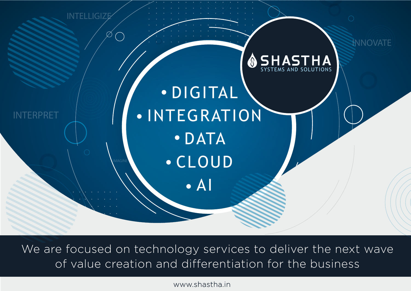

We are focused on technology services to deliver the next wave of value creation and differentiation for the business

www.shastha.in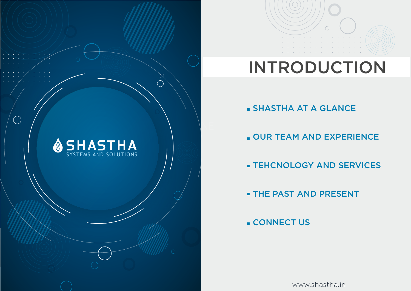

# INTRODUCTION

SHASTHA AT A GLANCE

OUR TEAM AND EXPERIENCE

**EXTERCHOLOGY AND SERVICES** 

**EXTERNAL PRESENT** 

**CONNECT US** 

 $\bigcup_{\alpha\in\mathbb{N}}\mathbb{R}^d$ 

INTERPRET

SYSTEMS AND SOLUTIONS

www.shastha.in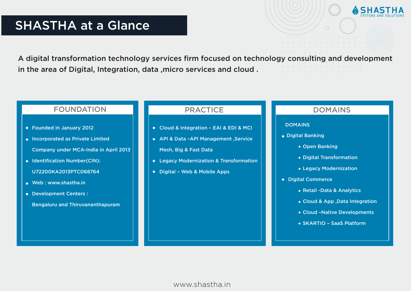# SYSTEMS AND SOLUTIONS SHASTHA at a Glance

A digital transformation technology services firm focused on technology consulting and development in the area of Digital, Integration, data ,micro services and cloud .

## FOUNDATION

- Founded in January 2012
- ◆ Incorporated as Private Limited Company under MCA-India in April 2013
- ◆ Identification Number(CIN):

U72200KA2013PTC068764

- Web : www.shastha.in
- ◆ Development Centers :
	- Bengaluru and Thiruvananthapuram

# PRACTICE **DOMAINS**

- Cloud & Integration EAI & EDI & MCI
- ◆ API & Data -API Management , Service Mesh, Big & Fast Data
- Legacy Modernization & Transformation
- ◆ Digital Web & Mobile Apps

#### DOMAINS

- Digital Banking
	- Open Banking
	- Digital Transformation
	- Legacy Modernization
- ◆ Digital Commerce
	- Retail -Data & Analytics
	- Cloud & App ,Data Integration
	- Cloud –Native Developments
	- SKARTIO SaaS Platform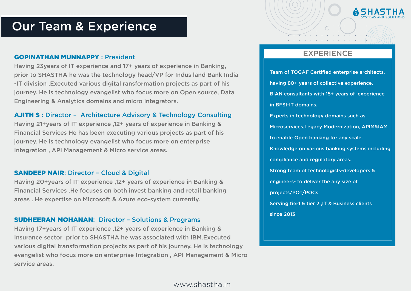# INTERNATIONAL SYSTEMS AND SOLUTIONS Our Team & Experience

#### GOPINATHAN MUNNAPPY : President

Having 23years of IT experience and 17+ years of experience in Banking, prior to SHASTHA he was the technology head/VP for Indus land Bank India -IT division .Executed various digital ransformation projects as part of his journey. He is technology evangelist who focus more on Open source, Data Engineering & Analytics domains and micro integrators.

#### AJITH S : Director – Architecture Advisory & Technology Consulting

Having 21+years of IT experience ,12+ years of experience in Banking & Financial Services He has been executing various projects as part of his journey. He is technology evangelist who focus more on enterprise Integration , API Management & Micro service areas.

#### SANDEEP NAIR: Director – Cloud & Digital

Having 20+years of IT experience ,12+ years of experience in Banking & Financial Services .He focuses on both invest banking and retail banking areas . He expertise on Microsoft & Azure eco-system currently.

#### SUDHEERAN MOHANAN: Director – Solutions & Programs

Having 17+years of IT experience ,12+ years of experience in Banking & Insurance sector prior to SHASTHA he was associated with IBM.Executed various digital transformation projects as part of his journey. He is technology evangelist who focus more on enterprise Integration , API Management & Micro service areas.

# EXPERIENCE

Team of TOGAF Certified enterprise architects, having 80+ years of collective experience. BIAN consultants with 15+ years of experience in BFSI-IT domains. Experts in technology domains such as Microservices,Legacy Modernization, APIM&IAM to enable Open banking for any scale. Knowledge on various banking systems including compliance and regulatory areas. Strong team of technologists-developers & engineers- to deliver the any size of projects/POT/POCs Serving tier1 & tier 2 ,IT & Business clients since 2013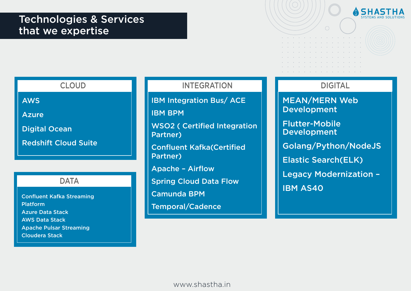



# CLOUD

AWS

Azure

Digital Ocean

Redshift Cloud Suite

# **DATA**

Confluent Kafka Streaming Platform Azure Data Stack AWS Data Stack Apache Pulsar Streaming Cloudera Stack

# INTEGRATION **DIGITAL**

IBM Integration Bus/ ACE

IBM BPM

WSO2 ( Certified Integration Partner)

Confluent Kafka(Certified Partner)

Apache – Airflow

Spring Cloud Data Flow

Camunda BPM

Temporal/Cadence

and a strategic control of the state of

MEAN/MERN Web Development

Flutter-Mobile Development

Golang/Python/NodeJS

Elastic Search(ELK)

Legacy Modernization – IBM AS40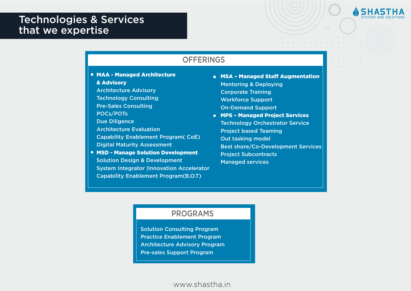# Technologies & Services **Example 2018** Systems and Solutions that we expertise



**MAA - Managed Architecture** & Advisory

Architecture Advisory

Technology Consulting

Pre-Sales Consulting

POCs/POTs

Due Diligence

Architecture Evaluation

Capability Enablement Program( CoE) Digital Maturity Assessment

■ MSD - Manage Solution Development Solution Design & Development System Integrator |Innovation Accelerator Capability Enablement Program(B.O.T)

- **E** MSA Managed Staff Augmentation Mentoring & Deploying Corporate Training Workforce Support On-Demand Support
- **NPS Managed Project Services** Technology Orchestrator Service Project based Teaming Out tasking model Best shore/Co-Development Services Project Subcontracts Managed services

#### PROGRAMS

Solution Consulting Program Practice Enablement Program Architecture Advisory Program Pre-sales Support Program

www.shastha.in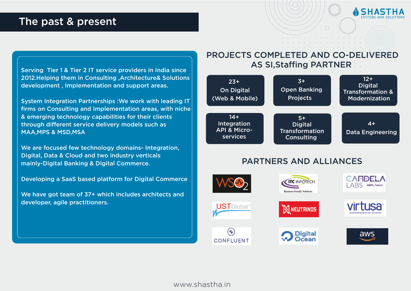# The past & present



Serving Tier 1 & Tier 2 IT service providers in India since 2012.Helping them in Consulting ,Architecture& Solutions development , Implementation and support areas.

System Integration Partnerships :We work with leading IT firms on Consulting and Implementation areas, with niche & emerging technology capabilities for their clients through different service delivery models such as MAA,MPS & MSD,MSA

We are focused few technology domains- Integration, Digital, Data & Cloud and two industry verticals mainly-Digital Banking & Digital Commerce.

Developing a SaaS based platform for Digital Commerce

We have got team of 37+ which includes architects and developer, agile practitioners.

# PROJECTS COMPLETED AND CO-DELIVERED AS SI,Staffing PARTNER



# PARTNERS AND ALLIANCES